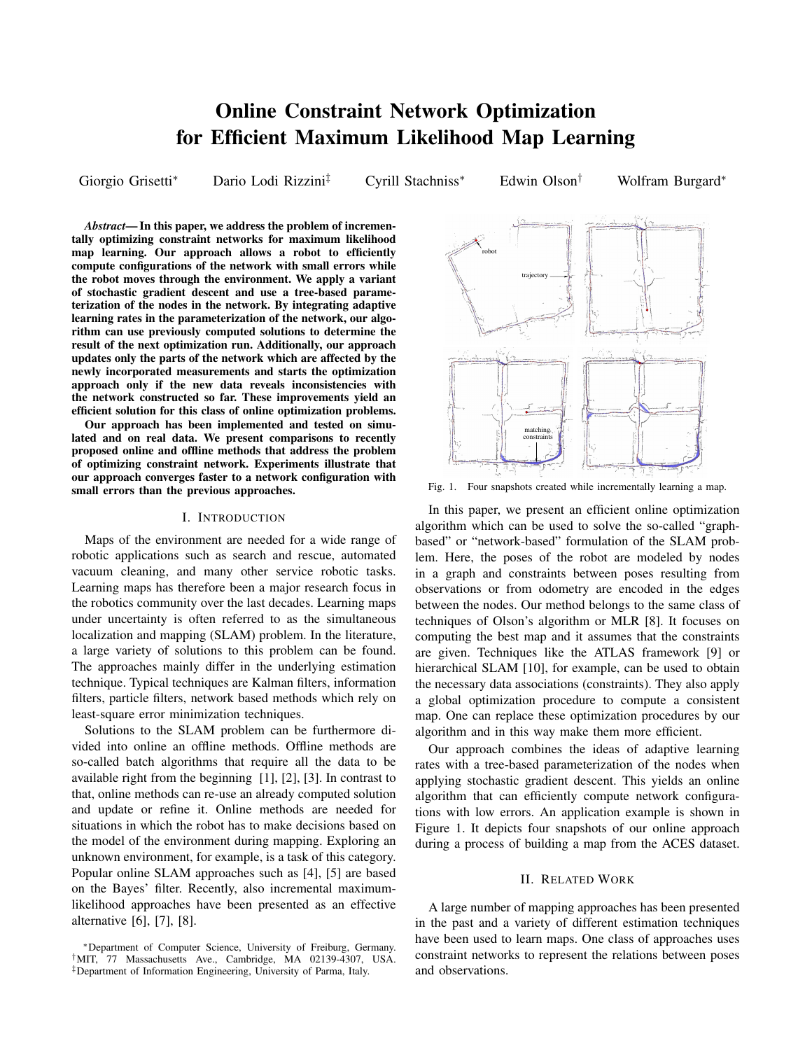# **Online Constraint Network Optimization for Efficient Maximum Likelihood Map Learning**

Giorgio Grisetti<sup>∗</sup> Dario Lodi Rizzini‡ Cyrill Stachniss<sup>∗</sup> Edwin Olson† Wolfram Burgard<sup>∗</sup>

*Abstract***— In this paper, we address the problem of incrementally optimizing constraint networks for maximum likelihood map learning. Our approach allows a robot to efficiently compute configurations of the network with small errors while the robot moves through the environment. We apply a variant of stochastic gradient descent and use a tree-based parameterization of the nodes in the network. By integrating adaptive learning rates in the parameterization of the network, our algorithm can use previously computed solutions to determine the result of the next optimization run. Additionally, our approach updates only the parts of the network which are affected by the newly incorporated measurements and starts the optimization approach only if the new data reveals inconsistencies with the network constructed so far. These improvements yield an efficient solution for this class of online optimization problems.**

**Our approach has been implemented and tested on simulated and on real data. We present comparisons to recently proposed online and offline methods that address the problem of optimizing constraint network. Experiments illustrate that our approach converges faster to a network configuration with small errors than the previous approaches.**

## I. INTRODUCTION

Maps of the environment are needed for a wide range of robotic applications such as search and rescue, automated vacuum cleaning, and many other service robotic tasks. Learning maps has therefore been a major research focus in the robotics community over the last decades. Learning maps under uncertainty is often referred to as the simultaneous localization and mapping (SLAM) problem. In the literature, a large variety of solutions to this problem can be found. The approaches mainly differ in the underlying estimation technique. Typical techniques are Kalman filters, information filters, particle filters, network based methods which rely on least-square error minimization techniques.

Solutions to the SLAM problem can be furthermore divided into online an offline methods. Offline methods are so-called batch algorithms that require all the data to be available right from the beginning [1], [2], [3]. In contrast to that, online methods can re-use an already computed solution and update or refine it. Online methods are needed for situations in which the robot has to make decisions based on the model of the environment during mapping. Exploring an unknown environment, for example, is a task of this category. Popular online SLAM approaches such as [4], [5] are based on the Bayes' filter. Recently, also incremental maximumlikelihood approaches have been presented as an effective alternative [6], [7], [8].



Fig. 1. Four snapshots created while incrementally learning a map.

In this paper, we present an efficient online optimization algorithm which can be used to solve the so-called "graphbased" or "network-based" formulation of the SLAM problem. Here, the poses of the robot are modeled by nodes in a graph and constraints between poses resulting from observations or from odometry are encoded in the edges between the nodes. Our method belongs to the same class of techniques of Olson's algorithm or MLR [8]. It focuses on computing the best map and it assumes that the constraints are given. Techniques like the ATLAS framework [9] or hierarchical SLAM [10], for example, can be used to obtain the necessary data associations (constraints). They also apply a global optimization procedure to compute a consistent map. One can replace these optimization procedures by our algorithm and in this way make them more efficient.

Our approach combines the ideas of adaptive learning rates with a tree-based parameterization of the nodes when applying stochastic gradient descent. This yields an online algorithm that can efficiently compute network configurations with low errors. An application example is shown in Figure 1. It depicts four snapshots of our online approach during a process of building a map from the ACES dataset.

## II. RELATED WORK

A large number of mapping approaches has been presented in the past and a variety of different estimation techniques have been used to learn maps. One class of approaches uses constraint networks to represent the relations between poses and observations.

<sup>∗</sup>Department of Computer Science, University of Freiburg, Germany. †MIT, 77 Massachusetts Ave., Cambridge, MA 02139-4307, USA. ‡Department of Information Engineering, University of Parma, Italy.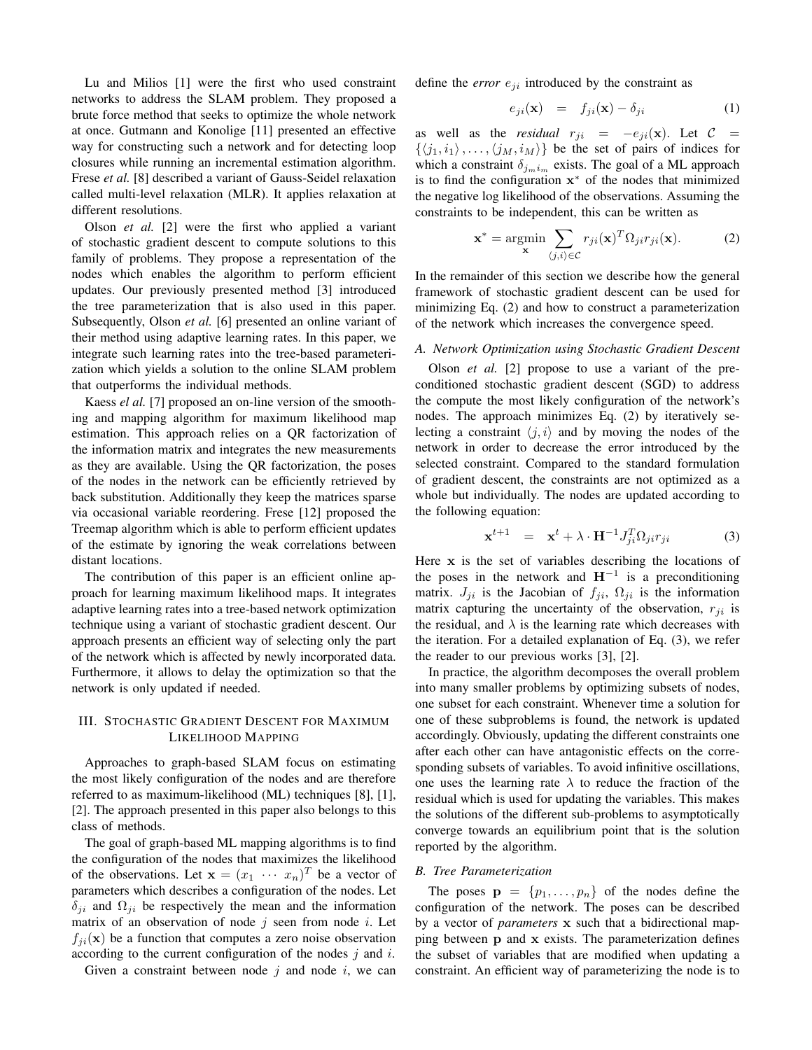Lu and Milios [1] were the first who used constraint networks to address the SLAM problem. They proposed a brute force method that seeks to optimize the whole network at once. Gutmann and Konolige [11] presented an effective way for constructing such a network and for detecting loop closures while running an incremental estimation algorithm. Frese *et al.* [8] described a variant of Gauss-Seidel relaxation called multi-level relaxation (MLR). It applies relaxation at different resolutions.

Olson *et al.* [2] were the first who applied a variant of stochastic gradient descent to compute solutions to this family of problems. They propose a representation of the nodes which enables the algorithm to perform efficient updates. Our previously presented method [3] introduced the tree parameterization that is also used in this paper. Subsequently, Olson *et al.* [6] presented an online variant of their method using adaptive learning rates. In this paper, we integrate such learning rates into the tree-based parameterization which yields a solution to the online SLAM problem that outperforms the individual methods.

Kaess *el al.* [7] proposed an on-line version of the smoothing and mapping algorithm for maximum likelihood map estimation. This approach relies on a QR factorization of the information matrix and integrates the new measurements as they are available. Using the QR factorization, the poses of the nodes in the network can be efficiently retrieved by back substitution. Additionally they keep the matrices sparse via occasional variable reordering. Frese [12] proposed the Treemap algorithm which is able to perform efficient updates of the estimate by ignoring the weak correlations between distant locations.

The contribution of this paper is an efficient online approach for learning maximum likelihood maps. It integrates adaptive learning rates into a tree-based network optimization technique using a variant of stochastic gradient descent. Our approach presents an efficient way of selecting only the part of the network which is affected by newly incorporated data. Furthermore, it allows to delay the optimization so that the network is only updated if needed.

## III. STOCHASTIC GRADIENT DESCENT FOR MAXIMUM LIKELIHOOD MAPPING

Approaches to graph-based SLAM focus on estimating the most likely configuration of the nodes and are therefore referred to as maximum-likelihood (ML) techniques [8], [1], [2]. The approach presented in this paper also belongs to this class of methods.

The goal of graph-based ML mapping algorithms is to find the configuration of the nodes that maximizes the likelihood of the observations. Let  $\mathbf{x} = (x_1 \cdots x_n)^T$  be a vector of parameters which describes a configuration of the nodes. Let  $\delta_{ii}$  and  $\Omega_{ii}$  be respectively the mean and the information matrix of an observation of node  $j$  seen from node  $i$ . Let  $f_{ji}(\mathbf{x})$  be a function that computes a zero noise observation according to the current configuration of the nodes  $j$  and  $i$ .

Given a constraint between node  $j$  and node  $i$ , we can

define the *error*  $e_{ji}$  introduced by the constraint as

$$
e_{ji}(\mathbf{x}) = f_{ji}(\mathbf{x}) - \delta_{ji} \tag{1}
$$

as well as the *residual*  $r_{ji} = -e_{ji}(\mathbf{x})$ . Let  $C =$  $\{\langle j_1, i_1 \rangle, \ldots, \langle j_M, i_M \rangle\}$  be the set of pairs of indices for which a constraint  $\delta_{j_m i_m}$  exists. The goal of a ML approach is to find the configuration  $x^*$  of the nodes that minimized the negative log likelihood of the observations. Assuming the constraints to be independent, this can be written as

$$
\mathbf{x}^* = \underset{\mathbf{x}}{\text{argmin}} \sum_{\langle j,i \rangle \in \mathcal{C}} r_{ji}(\mathbf{x})^T \Omega_{ji} r_{ji}(\mathbf{x}). \tag{2}
$$

In the remainder of this section we describe how the general framework of stochastic gradient descent can be used for minimizing Eq. (2) and how to construct a parameterization of the network which increases the convergence speed.

#### *A. Network Optimization using Stochastic Gradient Descent*

Olson *et al.* [2] propose to use a variant of the preconditioned stochastic gradient descent (SGD) to address the compute the most likely configuration of the network's nodes. The approach minimizes Eq. (2) by iteratively selecting a constraint  $\langle i, i \rangle$  and by moving the nodes of the network in order to decrease the error introduced by the selected constraint. Compared to the standard formulation of gradient descent, the constraints are not optimized as a whole but individually. The nodes are updated according to the following equation:

$$
\mathbf{x}^{t+1} = \mathbf{x}^t + \lambda \cdot \mathbf{H}^{-1} J_{ji}^T \Omega_{ji} r_{ji}
$$
 (3)

Here x is the set of variables describing the locations of the poses in the network and  $H^{-1}$  is a preconditioning matrix.  $J_{ji}$  is the Jacobian of  $f_{ji}$ ,  $\Omega_{ji}$  is the information matrix capturing the uncertainty of the observation,  $r_{ii}$  is the residual, and  $\lambda$  is the learning rate which decreases with the iteration. For a detailed explanation of Eq. (3), we refer the reader to our previous works [3], [2].

In practice, the algorithm decomposes the overall problem into many smaller problems by optimizing subsets of nodes, one subset for each constraint. Whenever time a solution for one of these subproblems is found, the network is updated accordingly. Obviously, updating the different constraints one after each other can have antagonistic effects on the corresponding subsets of variables. To avoid infinitive oscillations, one uses the learning rate  $\lambda$  to reduce the fraction of the residual which is used for updating the variables. This makes the solutions of the different sub-problems to asymptotically converge towards an equilibrium point that is the solution reported by the algorithm.

#### *B. Tree Parameterization*

The poses  $p = \{p_1, \ldots, p_n\}$  of the nodes define the configuration of the network. The poses can be described by a vector of *parameters* x such that a bidirectional mapping between p and x exists. The parameterization defines the subset of variables that are modified when updating a constraint. An efficient way of parameterizing the node is to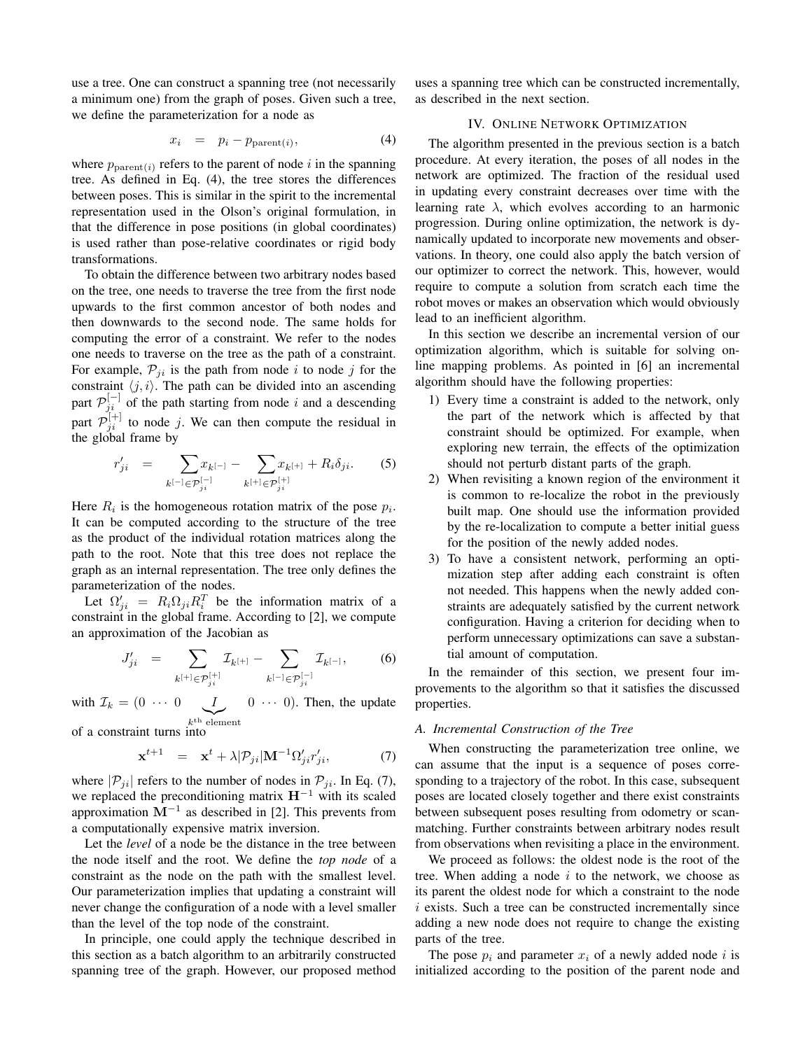use a tree. One can construct a spanning tree (not necessarily a minimum one) from the graph of poses. Given such a tree, we define the parameterization for a node as

$$
x_i = p_i - p_{\text{parent}(i)}, \tag{4}
$$

where  $p_{\text{parent}(i)}$  refers to the parent of node i in the spanning tree. As defined in Eq. (4), the tree stores the differences between poses. This is similar in the spirit to the incremental representation used in the Olson's original formulation, in that the difference in pose positions (in global coordinates) is used rather than pose-relative coordinates or rigid body transformations.

To obtain the difference between two arbitrary nodes based on the tree, one needs to traverse the tree from the first node upwards to the first common ancestor of both nodes and then downwards to the second node. The same holds for computing the error of a constraint. We refer to the nodes one needs to traverse on the tree as the path of a constraint. For example,  $P_{ji}$  is the path from node i to node j for the constraint  $\langle j, i \rangle$ . The path can be divided into an ascending part  $\mathcal{P}_{ji}^{[-]}$  of the path starting from node i and a descending part  $\mathcal{P}_{ji}^{[+]}$  to node j. We can then compute the residual in the global frame by

$$
r'_{ji} = \sum_{k^{[-]} \in \mathcal{P}_{ji}^{[-]}} x_{k^{[-]}} - \sum_{k^{[+]} \in \mathcal{P}_{ji}^{[+]}} x_{k^{[+]} + R_i \delta_{ji}}.
$$
 (5)

Here  $R_i$  is the homogeneous rotation matrix of the pose  $p_i$ . It can be computed according to the structure of the tree as the product of the individual rotation matrices along the path to the root. Note that this tree does not replace the graph as an internal representation. The tree only defines the parameterization of the nodes.

Let  $\Omega'_{ji} = R_i \Omega_{ji} R_i^T$  be the information matrix of a constraint in the global frame. According to [2], we compute an approximation of the Jacobian as

$$
J'_{ji} = \sum_{k^{[+]}\in \mathcal{P}_{ji}^{[+]}} \mathcal{I}_{k^{[+]}} - \sum_{k^{[-]}\in \mathcal{P}_{ji}^{[-]}} \mathcal{I}_{k^{[-]}},
$$
 (6)

with  $\mathcal{I}_k = \begin{pmatrix} 0 & \cdots & 0 \end{pmatrix}$  I  $k^{\text{th}}$  element  $0 \cdots 0$ ). Then, the update

of a constraint turns into

$$
\mathbf{x}^{t+1} = \mathbf{x}^t + \lambda |\mathcal{P}_{ji}|\mathbf{M}^{-1} \Omega'_{ji} r'_{ji}, \tag{7}
$$

where  $|\mathcal{P}_{ii}|$  refers to the number of nodes in  $\mathcal{P}_{ii}$ . In Eq. (7), we replaced the preconditioning matrix  $H^{-1}$  with its scaled approximation  $M^{-1}$  as described in [2]. This prevents from a computationally expensive matrix inversion.

Let the *level* of a node be the distance in the tree between the node itself and the root. We define the *top node* of a constraint as the node on the path with the smallest level. Our parameterization implies that updating a constraint will never change the configuration of a node with a level smaller than the level of the top node of the constraint.

In principle, one could apply the technique described in this section as a batch algorithm to an arbitrarily constructed spanning tree of the graph. However, our proposed method

uses a spanning tree which can be constructed incrementally, as described in the next section.

## IV. ONLINE NETWORK OPTIMIZATION

The algorithm presented in the previous section is a batch procedure. At every iteration, the poses of all nodes in the network are optimized. The fraction of the residual used in updating every constraint decreases over time with the learning rate  $\lambda$ , which evolves according to an harmonic progression. During online optimization, the network is dynamically updated to incorporate new movements and observations. In theory, one could also apply the batch version of our optimizer to correct the network. This, however, would require to compute a solution from scratch each time the robot moves or makes an observation which would obviously lead to an inefficient algorithm.

In this section we describe an incremental version of our optimization algorithm, which is suitable for solving online mapping problems. As pointed in [6] an incremental algorithm should have the following properties:

- 1) Every time a constraint is added to the network, only the part of the network which is affected by that constraint should be optimized. For example, when exploring new terrain, the effects of the optimization should not perturb distant parts of the graph.
- 2) When revisiting a known region of the environment it is common to re-localize the robot in the previously built map. One should use the information provided by the re-localization to compute a better initial guess for the position of the newly added nodes.
- 3) To have a consistent network, performing an optimization step after adding each constraint is often not needed. This happens when the newly added constraints are adequately satisfied by the current network configuration. Having a criterion for deciding when to perform unnecessary optimizations can save a substantial amount of computation.

In the remainder of this section, we present four improvements to the algorithm so that it satisfies the discussed properties.

### *A. Incremental Construction of the Tree*

When constructing the parameterization tree online, we can assume that the input is a sequence of poses corresponding to a trajectory of the robot. In this case, subsequent poses are located closely together and there exist constraints between subsequent poses resulting from odometry or scanmatching. Further constraints between arbitrary nodes result from observations when revisiting a place in the environment.

We proceed as follows: the oldest node is the root of the tree. When adding a node  $i$  to the network, we choose as its parent the oldest node for which a constraint to the node  $i$  exists. Such a tree can be constructed incrementally since adding a new node does not require to change the existing parts of the tree.

The pose  $p_i$  and parameter  $x_i$  of a newly added node i is initialized according to the position of the parent node and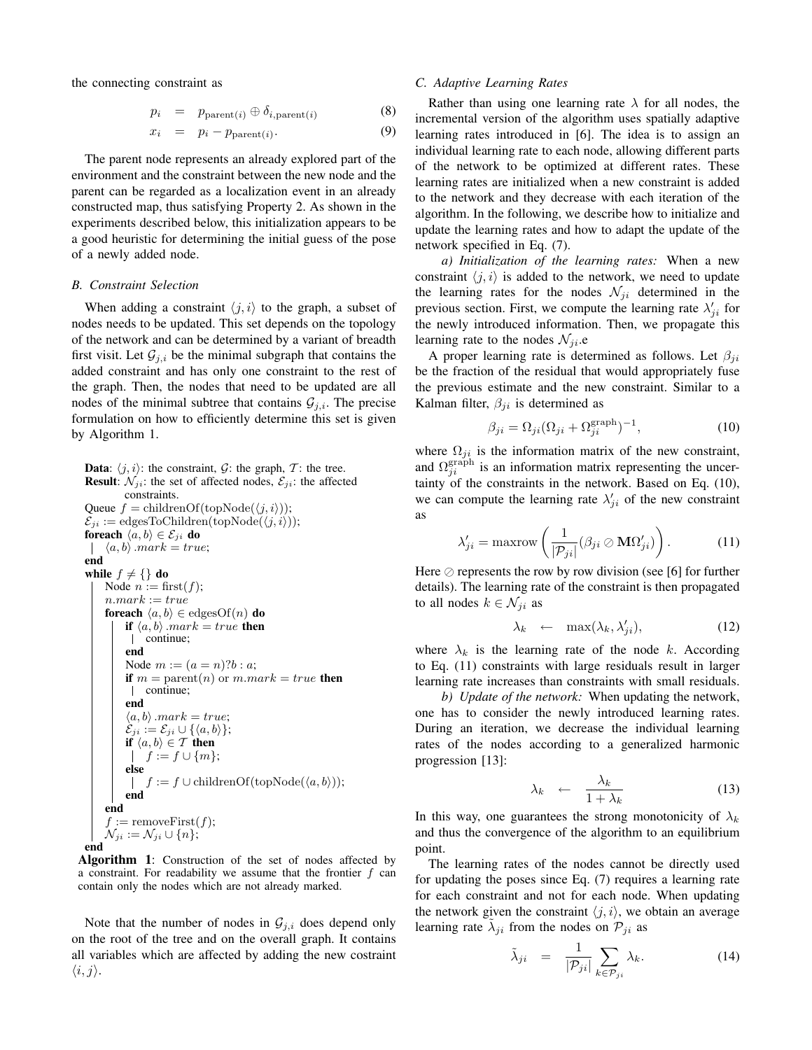the connecting constraint as

$$
p_i = p_{\text{parent}(i)} \oplus \delta_{i,\text{parent}(i)} \tag{8}
$$

$$
x_i = p_i - p_{\text{parent}(i)}.
$$
 (9)

The parent node represents an already explored part of the environment and the constraint between the new node and the parent can be regarded as a localization event in an already constructed map, thus satisfying Property 2. As shown in the experiments described below, this initialization appears to be a good heuristic for determining the initial guess of the pose of a newly added node.

### *B. Constraint Selection*

When adding a constraint  $\langle i, i \rangle$  to the graph, a subset of nodes needs to be updated. This set depends on the topology of the network and can be determined by a variant of breadth first visit. Let  $\mathcal{G}_{i,i}$  be the minimal subgraph that contains the added constraint and has only one constraint to the rest of the graph. Then, the nodes that need to be updated are all nodes of the minimal subtree that contains  $G_{i,i}$ . The precise formulation on how to efficiently determine this set is given by Algorithm 1.

**Data:** 
$$
\langle j, i \rangle
$$
: the constraint,  $G$ : the graph,  $T$ : the tree.  
\n**Result:**  $N_{ji}$ : the set of affected nodes,  $\mathcal{E}_{ji}$ : the affected constraints.  
\nQueue  $f = \text{childrenOf}(\text{topNode}(\langle j, i \rangle))$ ;  
\n $\mathcal{E}_{ji} := \text{edgesToChildren}(\text{topNode}(\langle j, i \rangle))$ ;  
\n**foreach**  $\langle a, b \rangle \in \mathcal{E}_{ji}$  **do**  
\n $|\langle a, b \rangle$ . mark = true;  
\n**end**  
\n**while**  $f \neq \{\}$  **do**  
\nNode  $n := \text{first}(f)$ ;  
\n*n.maxk* := true  
\n**foreach**  $\langle a, b \rangle \in \text{edgesOf}(n)$  **do**  
\n**if**  $\langle a, b \rangle$ . mark = true **then**  
\n $| \text{ continue};$   
\n**end**  
\nNode  $m := (a = n)?b : a$ ;  
\n**if**  $m = \text{parent}(n)$  or  $m.maxk = true$  **then**  
\n $| \text{ continue};$   
\n**end**  
\n $\langle a, b \rangle$ . mark = true;  
\n $\mathcal{E}_{ji} := \mathcal{E}_{ji} \cup \{\langle a, b \rangle\}$ ;  
\n**if**  $\langle a, b \rangle \in \mathcal{T}$  **then**  
\n $| f := f \cup \{m\}$ ;  
\n**else**  
\n $| f := f \cup \{m\}$ ;  
\n**else**  
\n**end**  
\n**end**  
\n**end**  
\n**end**  
\n**end**  
\n**end**  
\n**end**  
\n**end**  
\n**end**  
\n**end**  
\n**end**  
\n**end**  
\n**end**  
\n**end**  
\n**end**  
\n**end**  
\n**end**  
\n**end**  
\n**end**

**Algorithm 1**: Construction of the set of nodes affected by a constraint. For readability we assume that the frontier  $f$  can contain only the nodes which are not already marked.

Note that the number of nodes in  $\mathcal{G}_{j,i}$  does depend only on the root of the tree and on the overall graph. It contains all variables which are affected by adding the new costraint  $\langle i, j \rangle$ .

#### *C. Adaptive Learning Rates*

Rather than using one learning rate  $\lambda$  for all nodes, the incremental version of the algorithm uses spatially adaptive learning rates introduced in [6]. The idea is to assign an individual learning rate to each node, allowing different parts of the network to be optimized at different rates. These learning rates are initialized when a new constraint is added to the network and they decrease with each iteration of the algorithm. In the following, we describe how to initialize and update the learning rates and how to adapt the update of the network specified in Eq. (7).

*a) Initialization of the learning rates:* When a new constraint  $\langle j, i \rangle$  is added to the network, we need to update the learning rates for the nodes  $\mathcal{N}_{ii}$  determined in the previous section. First, we compute the learning rate  $\lambda'_{ji}$  for the newly introduced information. Then, we propagate this learning rate to the nodes  $\mathcal{N}_{ii}$ .e

A proper learning rate is determined as follows. Let  $\beta_{ii}$ be the fraction of the residual that would appropriately fuse the previous estimate and the new constraint. Similar to a Kalman filter,  $\beta_{ji}$  is determined as

$$
\beta_{ji} = \Omega_{ji} (\Omega_{ji} + \Omega_{ji}^{\text{graph}})^{-1},\tag{10}
$$

where  $\Omega_{ji}$  is the information matrix of the new constraint, and  $\Omega_{ji}^{\text{graph}}$  is an information matrix representing the uncertainty of the constraints in the network. Based on Eq. (10), we can compute the learning rate  $\lambda'_{ji}$  of the new constraint as

$$
\lambda'_{ji} = \max \text{row} \left( \frac{1}{|\mathcal{P}_{ji}|} (\beta_{ji} \oslash \mathbf{M} \Omega'_{ji}) \right). \tag{11}
$$

Here ⊘ represents the row by row division (see [6] for further details). The learning rate of the constraint is then propagated to all nodes  $k \in \mathcal{N}_{ji}$  as

$$
\lambda_k \leftarrow \max(\lambda_k, \lambda'_{ji}), \tag{12}
$$

where  $\lambda_k$  is the learning rate of the node k. According to Eq. (11) constraints with large residuals result in larger learning rate increases than constraints with small residuals.

*b) Update of the network:* When updating the network, one has to consider the newly introduced learning rates. During an iteration, we decrease the individual learning rates of the nodes according to a generalized harmonic progression [13]:

$$
\lambda_k \leftarrow \frac{\lambda_k}{1 + \lambda_k} \tag{13}
$$

In this way, one guarantees the strong monotonicity of  $\lambda_k$ and thus the convergence of the algorithm to an equilibrium point.

The learning rates of the nodes cannot be directly used for updating the poses since Eq. (7) requires a learning rate for each constraint and not for each node. When updating the network given the constraint  $\langle j, i \rangle$ , we obtain an average learning rate  $\tilde{\lambda}_{ji}$  from the nodes on  $\mathcal{P}_{ji}$  as

$$
\tilde{\lambda}_{ji} = \frac{1}{|\mathcal{P}_{ji}|} \sum_{k \in \mathcal{P}_{ji}} \lambda_k.
$$
\n(14)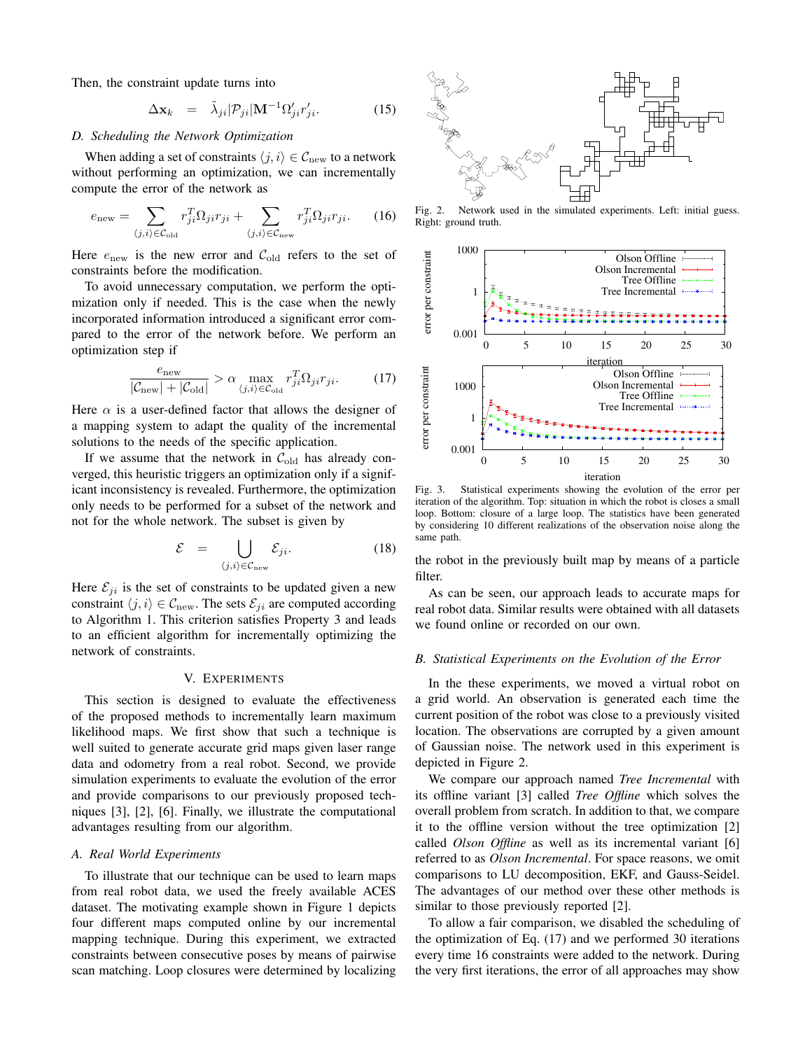Then, the constraint update turns into

$$
\Delta \mathbf{x}_k = \tilde{\lambda}_{ji} |\mathcal{P}_{ji}| \mathbf{M}^{-1} \Omega'_{ji} r'_{ji}.
$$
 (15)

#### *D. Scheduling the Network Optimization*

When adding a set of constraints  $\langle j, i \rangle \in \mathcal{C}_{\text{new}}$  to a network without performing an optimization, we can incrementally compute the error of the network as

$$
e_{\text{new}} = \sum_{\langle j,i\rangle \in \mathcal{C}_{\text{old}}} r_{ji}^T \Omega_{ji} r_{ji} + \sum_{\langle j,i\rangle \in \mathcal{C}_{\text{new}}} r_{ji}^T \Omega_{ji} r_{ji}.
$$
 (16)

Here  $e_{\text{new}}$  is the new error and  $C_{\text{old}}$  refers to the set of constraints before the modification.

To avoid unnecessary computation, we perform the optimization only if needed. This is the case when the newly incorporated information introduced a significant error compared to the error of the network before. We perform an optimization step if

$$
\frac{e_{\text{new}}}{|\mathcal{C}_{\text{new}}| + |\mathcal{C}_{\text{old}}|} > \alpha \max_{\langle j, i \rangle \in \mathcal{C}_{\text{old}}} r_{ji}^T \Omega_{ji} r_{ji}.
$$
 (17)

Here  $\alpha$  is a user-defined factor that allows the designer of a mapping system to adapt the quality of the incremental solutions to the needs of the specific application.

If we assume that the network in  $C_{old}$  has already converged, this heuristic triggers an optimization only if a significant inconsistency is revealed. Furthermore, the optimization only needs to be performed for a subset of the network and not for the whole network. The subset is given by

$$
\mathcal{E} = \bigcup_{\langle j,i\rangle \in \mathcal{C}_{\text{new}}} \mathcal{E}_{ji}.
$$
 (18)

Here  $\mathcal{E}_{ii}$  is the set of constraints to be updated given a new constraint  $\langle j, i \rangle \in \mathcal{C}_{\text{new}}$ . The sets  $\mathcal{E}_{ji}$  are computed according to Algorithm 1. This criterion satisfies Property 3 and leads to an efficient algorithm for incrementally optimizing the network of constraints.

### V. EXPERIMENTS

This section is designed to evaluate the effectiveness of the proposed methods to incrementally learn maximum likelihood maps. We first show that such a technique is well suited to generate accurate grid maps given laser range data and odometry from a real robot. Second, we provide simulation experiments to evaluate the evolution of the error and provide comparisons to our previously proposed techniques [3], [2], [6]. Finally, we illustrate the computational advantages resulting from our algorithm.

## *A. Real World Experiments*

To illustrate that our technique can be used to learn maps from real robot data, we used the freely available ACES dataset. The motivating example shown in Figure 1 depicts four different maps computed online by our incremental mapping technique. During this experiment, we extracted constraints between consecutive poses by means of pairwise scan matching. Loop closures were determined by localizing



Fig. 2. Network used in the simulated experiments. Left: initial guess. Right: ground truth.



Fig. 3. Statistical experiments showing the evolution of the error per iteration of the algorithm. Top: situation in which the robot is closes a small loop. Bottom: closure of a large loop. The statistics have been generated by considering 10 different realizations of the observation noise along the same path.

the robot in the previously built map by means of a particle filter.

As can be seen, our approach leads to accurate maps for real robot data. Similar results were obtained with all datasets we found online or recorded on our own.

## *B. Statistical Experiments on the Evolution of the Error*

In the these experiments, we moved a virtual robot on a grid world. An observation is generated each time the current position of the robot was close to a previously visited location. The observations are corrupted by a given amount of Gaussian noise. The network used in this experiment is depicted in Figure 2.

We compare our approach named *Tree Incremental* with its offline variant [3] called *Tree Offline* which solves the overall problem from scratch. In addition to that, we compare it to the offline version without the tree optimization [2] called *Olson Offline* as well as its incremental variant [6] referred to as *Olson Incremental*. For space reasons, we omit comparisons to LU decomposition, EKF, and Gauss-Seidel. The advantages of our method over these other methods is similar to those previously reported [2].

To allow a fair comparison, we disabled the scheduling of the optimization of Eq. (17) and we performed 30 iterations every time 16 constraints were added to the network. During the very first iterations, the error of all approaches may show